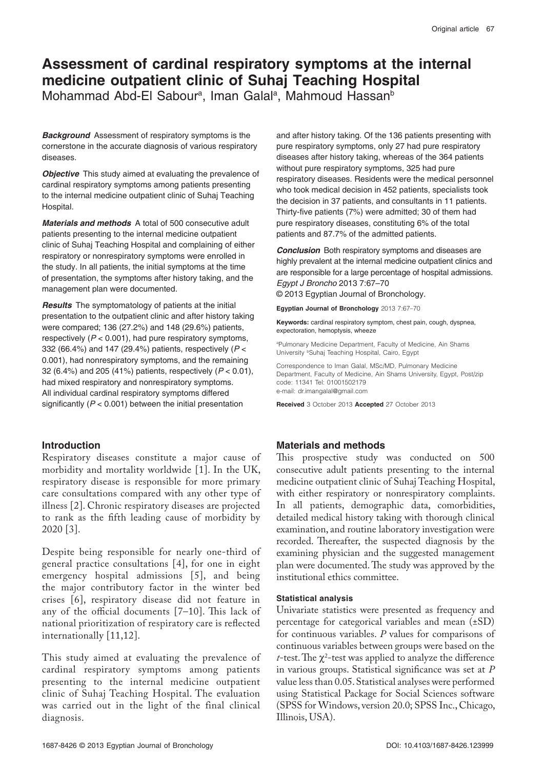# **Assessment of cardinal respiratory symptoms at the internal medicine outpatient clinic of Suhaj Teaching Hospital**

Mohammad Abd-El Sabour<sup>a</sup>, Iman Galal<sup>a</sup>, Mahmoud Hassan<sup>b</sup>

**Background** Assessment of respiratory symptoms is the cornerstone in the accurate diagnosis of various respiratory diseases.

**Objective** This study aimed at evaluating the prevalence of cardinal respiratory symptoms among patients presenting to the internal medicine outpatient clinic of Suhaj Teaching Hospital.

**Materials and methods** A total of 500 consecutive adult patients presenting to the internal medicine outpatient clinic of Suhaj Teaching Hospital and complaining of either respiratory or nonrespiratory symptoms were enrolled in the study. In all patients, the initial symptoms at the time of presentation, the symptoms after history taking, and the management plan were documented.

**Results** The symptomatology of patients at the initial presentation to the outpatient clinic and after history taking were compared; 136 (27.2%) and 148 (29.6%) patients, respectively (*P* < 0.001), had pure respiratory symptoms, 332 (66.4%) and 147 (29.4%) patients, respectively (*P* < 0.001), had nonrespiratory symptoms, and the remaining 32 (6.4%) and 205 (41%) patients, respectively (*P* < 0.01), had mixed respiratory and nonrespiratory symptoms. All individual cardinal respiratory symptoms differed significantly (*P* < 0.001) between the initial presentation

# **Introduction**

Respiratory diseases constitute a major cause of morbidity and mortality worldwide [1]. In the UK, respiratory disease is responsible for more primary care consultations compared with any other type of illness [2]. Chronic respiratory diseases are projected to rank as the fifth leading cause of morbidity by 2020 [3].

Despite being responsible for nearly one-third of general practice consultations [4], for one in eight emergency hospital admissions [5], and being the major contributory factor in the winter bed crises [6], respiratory disease did not feature in any of the official documents [7–10]. This lack of national prioritization of respiratory care is reflected internationally [11,12].

This study aimed at evaluating the prevalence of cardinal respiratory symptoms among patients presenting to the internal medicine outpatient clinic of Suhaj Teaching Hospital. The evaluation was carried out in the light of the final clinical diagnosis.

and after history taking. Of the 136 patients presenting with pure respiratory symptoms, only 27 had pure respiratory diseases after history taking, whereas of the 364 patients without pure respiratory symptoms, 325 had pure respiratory diseases. Residents were the medical personnel who took medical decision in 452 patients, specialists took the decision in 37 patients, and consultants in 11 patients. Thirty-five patients (7%) were admitted; 30 of them had pure respiratory diseases, constituting 6% of the total patients and 87.7% of the admitted patients.

**Conclusion** Both respiratory symptoms and diseases are highly prevalent at the internal medicine outpatient clinics and are responsible for a large percentage of hospital admissions. *Egypt J Broncho* 2013 7:67–70

© 2013 Egyptian Journal of Bronchology.

**Egyptian Journal of Bronchology** 2013 7:67–70

**Keywords:** cardinal respiratory symptom, chest pain, cough, dyspnea, expectoration, hemoptysis, wheeze

a Pulmonary Medicine Department, Faculty of Medicine, Ain Shams University <sup>b</sup>Suhai Teaching Hospital, Cairo, Egypt

Correspondence to Iman Galal, MSc/MD, Pulmonary Medicine Department, Faculty of Medicine, Ain Shams University, Egypt, Post/zip code: 11341 Tel: 01001502179 e-mail: dr.imangalal@gmail.com

**Received** 3 October 2013 **Accepted** 27 October 2013

# **Materials and methods**

This prospective study was conducted on 500 consecutive adult patients presenting to the internal medicine outpatient clinic of Suhaj Teaching Hospital, with either respiratory or nonrespiratory complaints. In all patients, demographic data, comorbidities, detailed medical history taking with thorough clinical examination, and routine laboratory investigation were recorded. Thereafter, the suspected diagnosis by the examining physician and the suggested management plan were documented. The study was approved by the institutional ethics committee.

# **Statistical analysis**

Univariate statistics were presented as frequency and percentage for categorical variables and mean (±SD) for continuous variables. *P* values for comparisons of continuous variables between groups were based on the *t*-test. The  $\chi^2$ -test was applied to analyze the difference in various groups. Statistical significance was set at *P* value less than 0.05. Statistical analyses were performed using Statistical Package for Social Sciences software (SPSS for Windows, version 20.0; SPSS Inc., Chicago, Illinois, USA).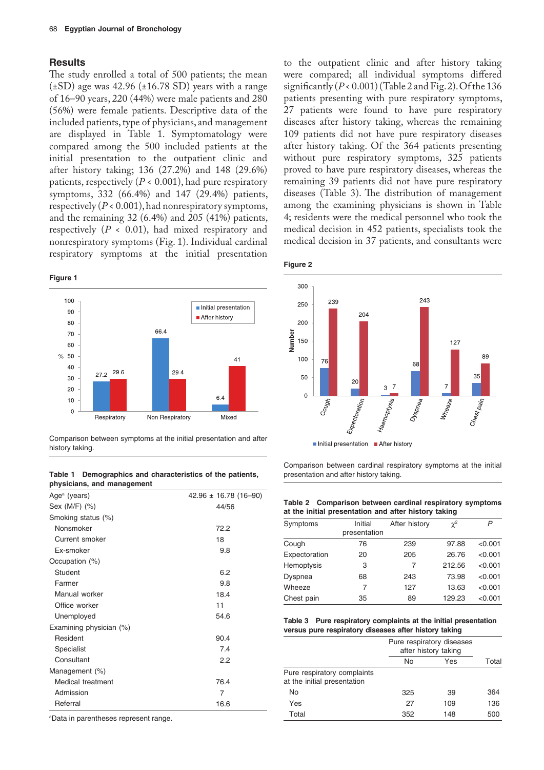## **Results**

The study enrolled a total of 500 patients; the mean  $(\pm SD)$  age was 42.96 ( $\pm 16.78$  SD) years with a range of 16–90 years, 220 (44%) were male patients and 280 (56%) were female patients. Descriptive data of the included patients, type of physicians, and management are displayed in Table 1. Symptomatology were compared among the 500 included patients at the initial presentation to the outpatient clinic and after history taking; 136 (27.2%) and 148 (29.6%) patients, respectively  $(P < 0.001)$ , had pure respiratory symptoms, 332 (66.4%) and 147 (29.4%) patients, respectively (*P* < 0.001), had nonrespiratory symptoms, and the remaining 32 (6.4%) and 205 (41%) patients, respectively (*P* < 0.01), had mixed respiratory and nonrespiratory symptoms (Fig. 1). Individual cardinal respiratory symptoms at the initial presentation

#### **Figure 1**



Comparison between symptoms at the initial presentation and after history taking.

#### **Table 1 Demographics and characteristics of the patients, physicians, and management**

| $42.96 \pm 16.78$ (16-90) |
|---------------------------|
| 44/56                     |
|                           |
| 72.2                      |
| 18                        |
| 9.8                       |
|                           |
| 6.2                       |
| 9.8                       |
| 18.4                      |
| 11                        |
| 54.6                      |
|                           |
| 90.4                      |
| 7.4                       |
| 2.2                       |
|                           |
| 76.4                      |
| 7                         |
| 16.6                      |
|                           |

a Data in parentheses represent range.

to the outpatient clinic and after history taking were compared; all individual symptoms differed significantly  $(P < 0.001)$  (Table 2 and Fig. 2). Of the 136 patients presenting with pure respiratory symptoms, 27 patients were found to have pure respiratory diseases after history taking, whereas the remaining 109 patients did not have pure respiratory diseases after history taking. Of the 364 patients presenting without pure respiratory symptoms, 325 patients proved to have pure respiratory diseases, whereas the remaining 39 patients did not have pure respiratory diseases (Table 3). The distribution of management among the examining physicians is shown in Table 4; residents were the medical personnel who took the medical decision in 452 patients, specialists took the medical decision in 37 patients, and consultants were

|--|--|



Comparison between cardinal respiratory symptoms at the initial presentation and after history taking.

| Table 2 Comparison between cardinal respiratory symptoms |
|----------------------------------------------------------|
| at the initial presentation and after history taking     |

| Symptoms      | Initial      | After history | $\chi^2$ | P       |
|---------------|--------------|---------------|----------|---------|
|               | presentation |               |          |         |
| Cough         | 76           | 239           | 97.88    | < 0.001 |
| Expectoration | 20           | 205           | 26.76    | < 0.001 |
| Hemoptysis    | 3            | 7             | 212.56   | < 0.001 |
| Dyspnea       | 68           | 243           | 73.98    | < 0.001 |
| Wheeze        | 7            | 127           | 13.63    | < 0.001 |
| Chest pain    | 35           | 89            | 129.23   | < 0.001 |

**Table 3 Pure respiratory complaints at the initial presentation versus pure respiratory diseases after history taking**

|                                                            | Pure respiratory diseases<br>after history taking |     |       |
|------------------------------------------------------------|---------------------------------------------------|-----|-------|
|                                                            | No                                                | Yes | Total |
| Pure respiratory complaints<br>at the initial presentation |                                                   |     |       |
| No                                                         | 325                                               | 39  | 364   |
| Yes                                                        | 27                                                | 109 | 136   |
| Total                                                      | 352                                               | 148 | 500   |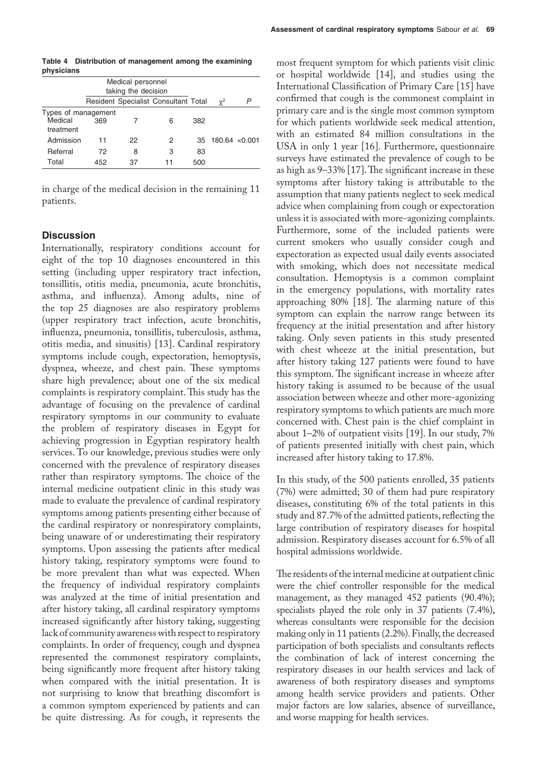**Table 4 Distribution of management among the examining physicians**

|                                             | Medical personnel<br>taking the decision |    |                                      |     |                    |  |
|---------------------------------------------|------------------------------------------|----|--------------------------------------|-----|--------------------|--|
|                                             |                                          |    | Resident Specialist Consultant Total |     | $\chi^2$           |  |
| Types of management<br>Medical<br>treatment | 369                                      |    | 6                                    | 382 |                    |  |
| Admission                                   | 11                                       | 22 | 2                                    | 35  | $180.64 \le 0.001$ |  |
| Referral                                    | 72                                       | 8  | 3                                    | 83  |                    |  |
| Total                                       | 452                                      | 37 | 11                                   | 500 |                    |  |

in charge of the medical decision in the remaining 11 patients.

# **Discussion**

Internationally, respiratory conditions account for eight of the top 10 diagnoses encountered in this setting (including upper respiratory tract infection, tonsillitis, otitis media, pneumonia, acute bronchitis, asthma, and influenza). Among adults, nine of the top 25 diagnoses are also respiratory problems (upper respiratory tract infection, acute bronchitis, influenza, pneumonia, tonsillitis, tuberculosis, asthma, otitis media, and sinusitis) [13]. Cardinal respiratory symptoms include cough, expectoration, hemoptysis, dyspnea, wheeze, and chest pain. These symptoms share high prevalence; about one of the six medical complaints is respiratory complaint. This study has the advantage of focusing on the prevalence of cardinal respiratory symptoms in our community to evaluate the problem of respiratory diseases in Egypt for achieving progression in Egyptian respiratory health services. To our knowledge, previous studies were only concerned with the prevalence of respiratory diseases rather than respiratory symptoms. The choice of the internal medicine outpatient clinic in this study was made to evaluate the prevalence of cardinal respiratory symptoms among patients presenting either because of the cardinal respiratory or nonrespiratory complaints, being unaware of or underestimating their respiratory symptoms. Upon assessing the patients after medical history taking, respiratory symptoms were found to be more prevalent than what was expected. When the frequency of individual respiratory complaints was analyzed at the time of initial presentation and after history taking, all cardinal respiratory symptoms increased significantly after history taking, suggesting lack of community awareness with respect to respiratory complaints. In order of frequency, cough and dyspnea represented the commonest respiratory complaints, being significantly more frequent after history taking when compared with the initial presentation. It is not surprising to know that breathing discomfort is a common symptom experienced by patients and can be quite distressing. As for cough, it represents the

most frequent symptom for which patients visit clinic or hospital worldwide [14], and studies using the International Classification of Primary Care [15] have confirmed that cough is the commonest complaint in primary care and is the single most common symptom for which patients worldwide seek medical attention, with an estimated 84 million consultations in the USA in only 1 year [16]. Furthermore, questionnaire surveys have estimated the prevalence of cough to be as high as 9–33% [17]. The significant increase in these symptoms after history taking is attributable to the assumption that many patients neglect to seek medical advice when complaining from cough or expectoration unless it is associated with more-agonizing complaints. Furthermore, some of the included patients were current smokers who usually consider cough and expectoration as expected usual daily events associated with smoking, which does not necessitate medical consultation. Hemoptysis is a common complaint in the emergency populations, with mortality rates approaching 80% [18]. The alarming nature of this symptom can explain the narrow range between its frequency at the initial presentation and after history taking. Only seven patients in this study presented with chest wheeze at the initial presentation, but after history taking 127 patients were found to have this symptom. The significant increase in wheeze after history taking is assumed to be because of the usual association between wheeze and other more-agonizing respiratory symptoms to which patients are much more concerned with. Chest pain is the chief complaint in about 1–2% of outpatient visits [19]. In our study, 7% of patients presented initially with chest pain, which increased after history taking to 17.8%.

In this study, of the 500 patients enrolled, 35 patients (7%) were admitted; 30 of them had pure respiratory diseases, constituting 6% of the total patients in this study and 87.7% of the admitted patients, reflecting the large contribution of respiratory diseases for hospital admission. Respiratory diseases account for 6.5% of all hospital admissions worldwide.

The residents of the internal medicine at outpatient clinic were the chief controller responsible for the medical management, as they managed 452 patients (90.4%); specialists played the role only in 37 patients (7.4%), whereas consultants were responsible for the decision making only in 11 patients (2.2%). Finally, the decreased participation of both specialists and consultants reflects the combination of lack of interest concerning the respiratory diseases in our health services and lack of awareness of both respiratory diseases and symptoms among health service providers and patients. Other major factors are low salaries, absence of surveillance, and worse mapping for health services.